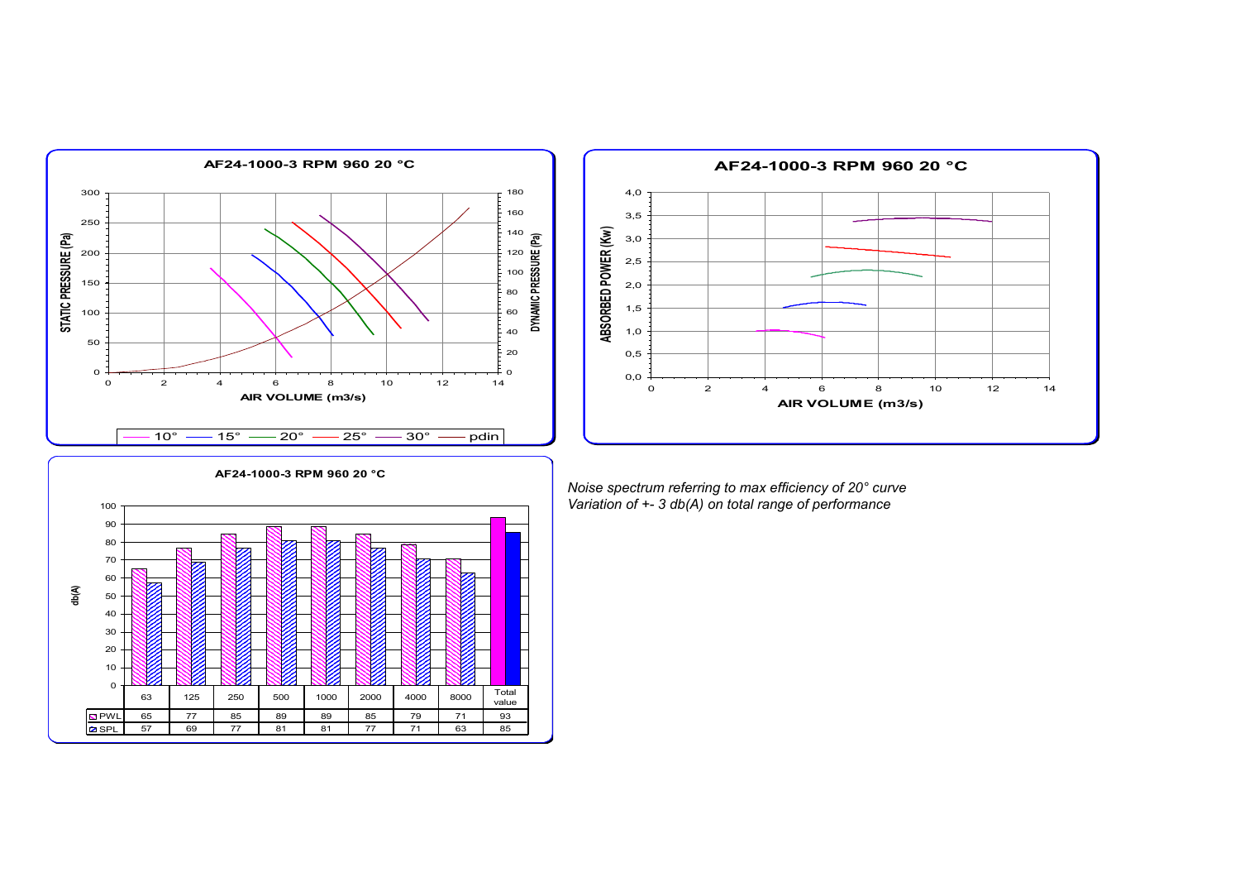

PWL 65 77 85 89 89 85 79 71 93 SPL 57 69 77 81 81 77 71 63 85

**db(A)**



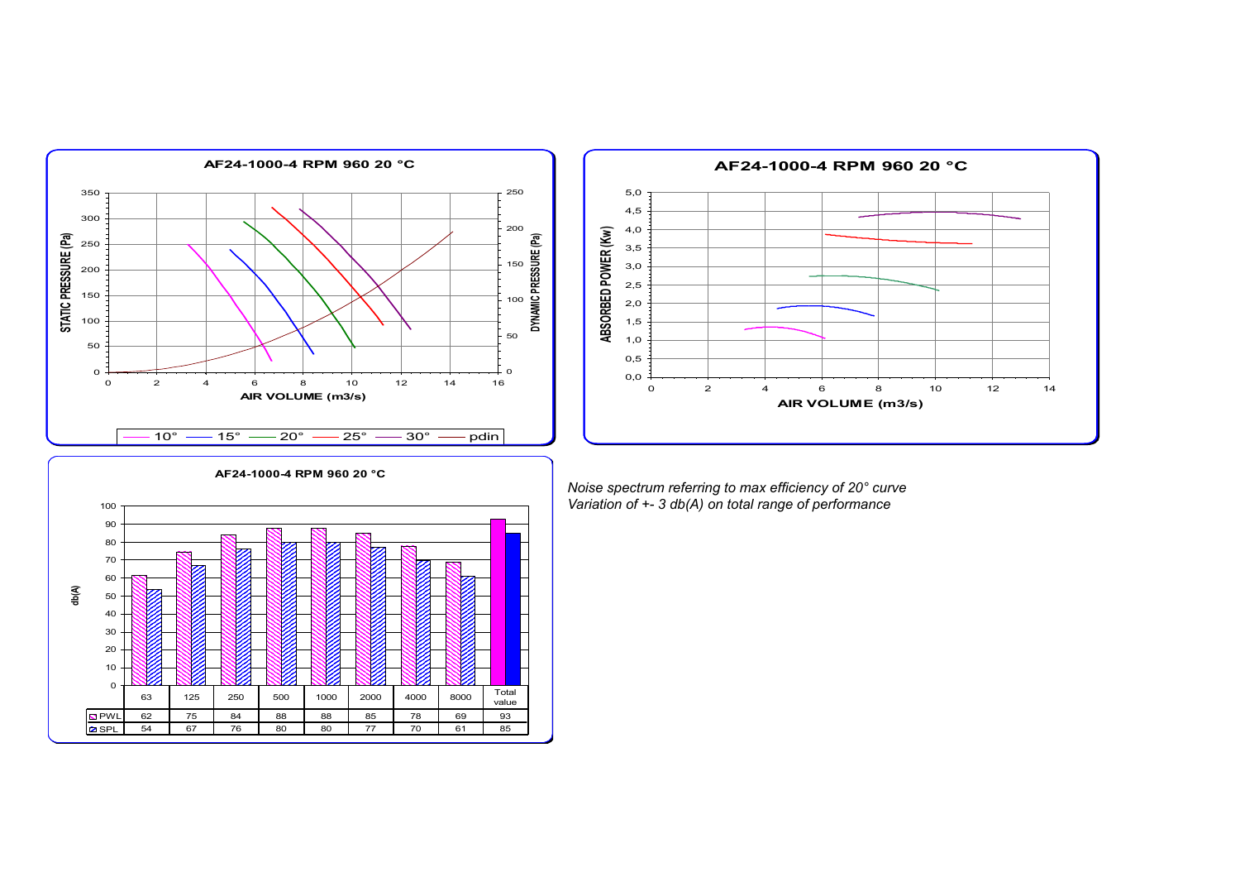



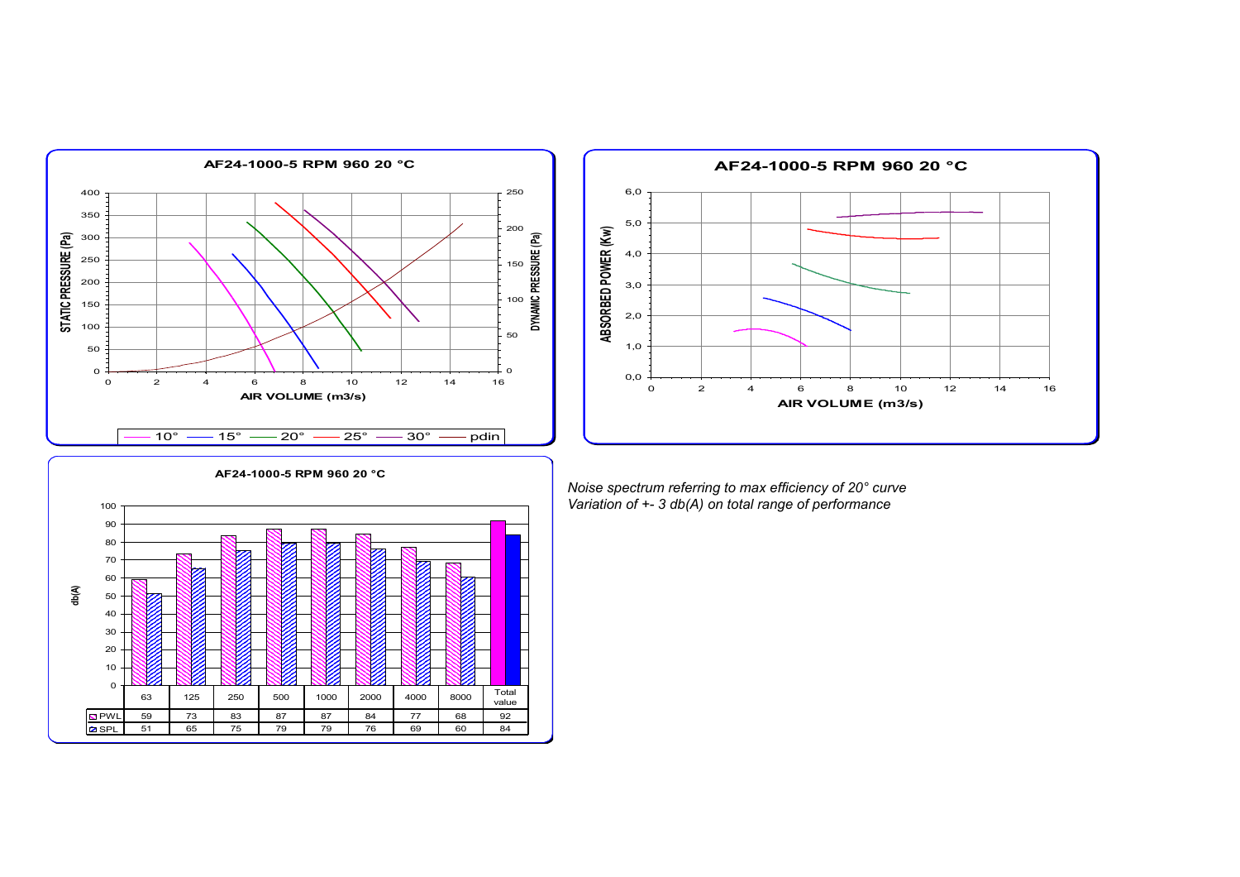